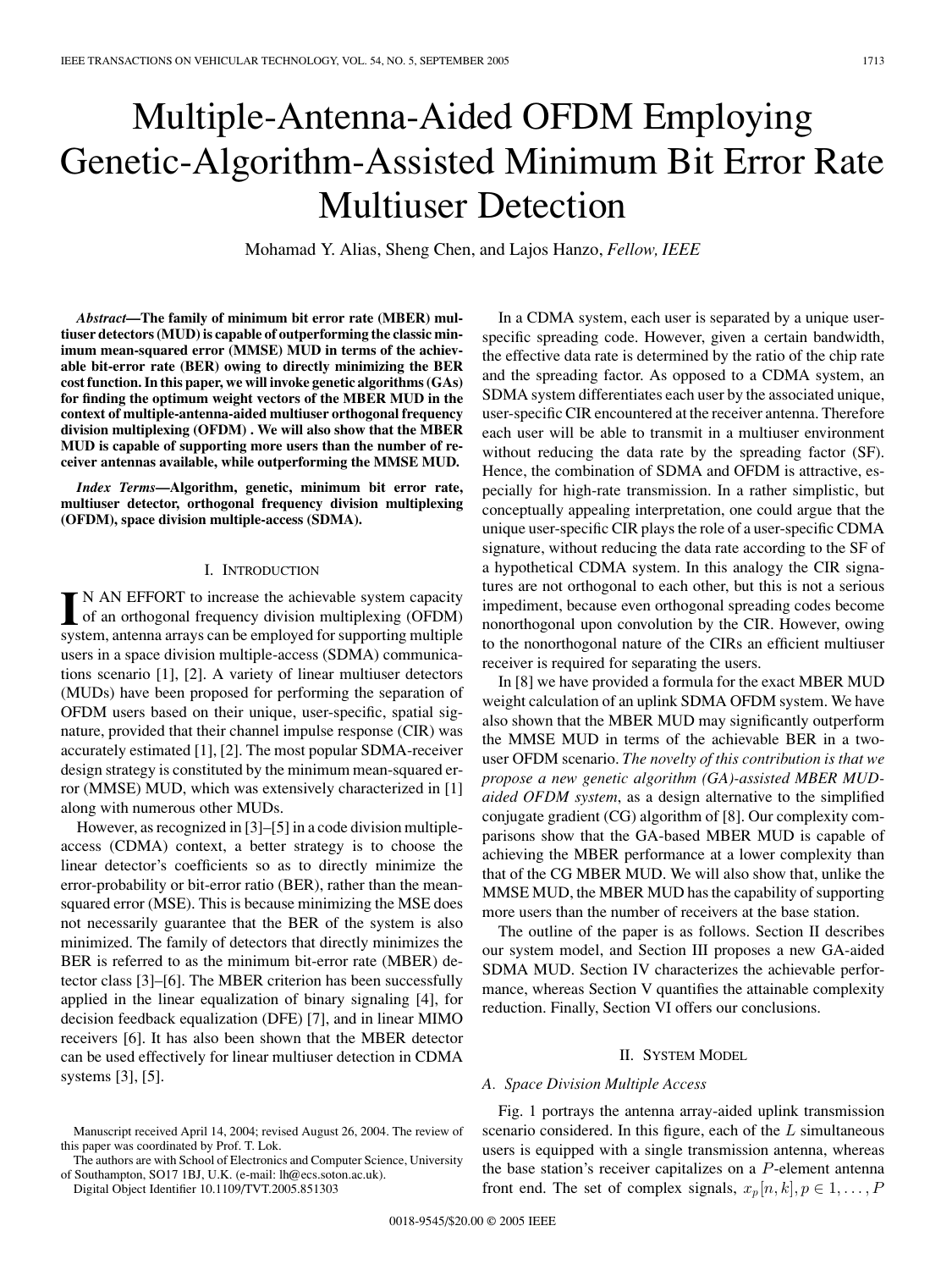# Multiple-Antenna-Aided OFDM Employing Genetic-Algorithm-Assisted Minimum Bit Error Rate Multiuser Detection

Mohamad Y. Alias, Sheng Chen, and Lajos Hanzo, *Fellow, IEEE*

*Abstract***—The family of minimum bit error rate (MBER) multiuser detectors (MUD) is capable of outperforming the classic minimum mean-squared error (MMSE) MUD in terms of the achievable bit-error rate (BER) owing to directly minimizing the BER cost function. In this paper, we will invoke genetic algorithms (GAs) for finding the optimum weight vectors of the MBER MUD in the context of multiple-antenna-aided multiuser orthogonal frequency division multiplexing (OFDM) . We will also show that the MBER MUD is capable of supporting more users than the number of receiver antennas available, while outperforming the MMSE MUD.**

*Index Terms***—Algorithm, genetic, minimum bit error rate, multiuser detector, orthogonal frequency division multiplexing (OFDM), space division multiple-access (SDMA).**

## I. INTRODUCTION

IN AN EFFORT to increase the achievable system capacity<br>of an orthogonal frequency division multiplexing (OFDM) N AN EFFORT to increase the achievable system capacity system, antenna arrays can be employed for supporting multiple users in a space division multiple-access (SDMA) communications scenario [1], [2]. A variety of linear multiuser detectors (MUDs) have been proposed for performing the separation of OFDM users based on their unique, user-specific, spatial signature, provided that their channel impulse response (CIR) was accurately estimated [1], [2]. The most popular SDMA-receiver design strategy is constituted by the minimum mean-squared error (MMSE) MUD, which was extensively characterized in [1] along with numerous other MUDs.

However, as recognized in [3]–[5] in a code division multipleaccess (CDMA) context, a better strategy is to choose the linear detector's coefficients so as to directly minimize the error-probability or bit-error ratio (BER), rather than the meansquared error (MSE). This is because minimizing the MSE does not necessarily guarantee that the BER of the system is also minimized. The family of detectors that directly minimizes the BER is referred to as the minimum bit-error rate (MBER) detector class [3]–[6]. The MBER criterion has been successfully applied in the linear equalization of binary signaling [4], for decision feedback equalization (DFE) [7], and in linear MIMO receivers [6]. It has also been shown that the MBER detector can be used effectively for linear multiuser detection in CDMA systems [3], [5].

Digital Object Identifier 10.1109/TVT.2005.851303

In a CDMA system, each user is separated by a unique userspecific spreading code. However, given a certain bandwidth, the effective data rate is determined by the ratio of the chip rate and the spreading factor. As opposed to a CDMA system, an SDMA system differentiates each user by the associated unique, user-specific CIR encountered at the receiver antenna. Therefore each user will be able to transmit in a multiuser environment without reducing the data rate by the spreading factor (SF). Hence, the combination of SDMA and OFDM is attractive, especially for high-rate transmission. In a rather simplistic, but conceptually appealing interpretation, one could argue that the unique user-specific CIR plays the role of a user-specific CDMA signature, without reducing the data rate according to the SF of a hypothetical CDMA system. In this analogy the CIR signatures are not orthogonal to each other, but this is not a serious impediment, because even orthogonal spreading codes become nonorthogonal upon convolution by the CIR. However, owing to the nonorthogonal nature of the CIRs an efficient multiuser receiver is required for separating the users.

In [8] we have provided a formula for the exact MBER MUD weight calculation of an uplink SDMA OFDM system. We have also shown that the MBER MUD may significantly outperform the MMSE MUD in terms of the achievable BER in a twouser OFDM scenario. *The novelty of this contribution is that we propose a new genetic algorithm (GA)-assisted MBER MUDaided OFDM system*, as a design alternative to the simplified conjugate gradient (CG) algorithm of [8]. Our complexity comparisons show that the GA-based MBER MUD is capable of achieving the MBER performance at a lower complexity than that of the CG MBER MUD. We will also show that, unlike the MMSE MUD, the MBER MUD has the capability of supporting more users than the number of receivers at the base station.

The outline of the paper is as follows. Section II describes our system model, and Section III proposes a new GA-aided SDMA MUD. Section IV characterizes the achievable performance, whereas Section V quantifies the attainable complexity reduction. Finally, Section VI offers our conclusions.

## II. SYSTEM MODEL

## *A. Space Division Multiple Access*

Fig. 1 portrays the antenna array-aided uplink transmission scenario considered. In this figure, each of the  $L$  simultaneous users is equipped with a single transmission antenna, whereas the base station's receiver capitalizes on a  $P$ -element antenna front end. The set of complex signals,  $x_p[n, k], p \in 1, \ldots, P$ 

Manuscript received April 14, 2004; revised August 26, 2004. The review of this paper was coordinated by Prof. T. Lok.

The authors are with School of Electronics and Computer Science, University of Southampton, SO17 1BJ, U.K. (e-mail: lh@ecs.soton.ac.uk).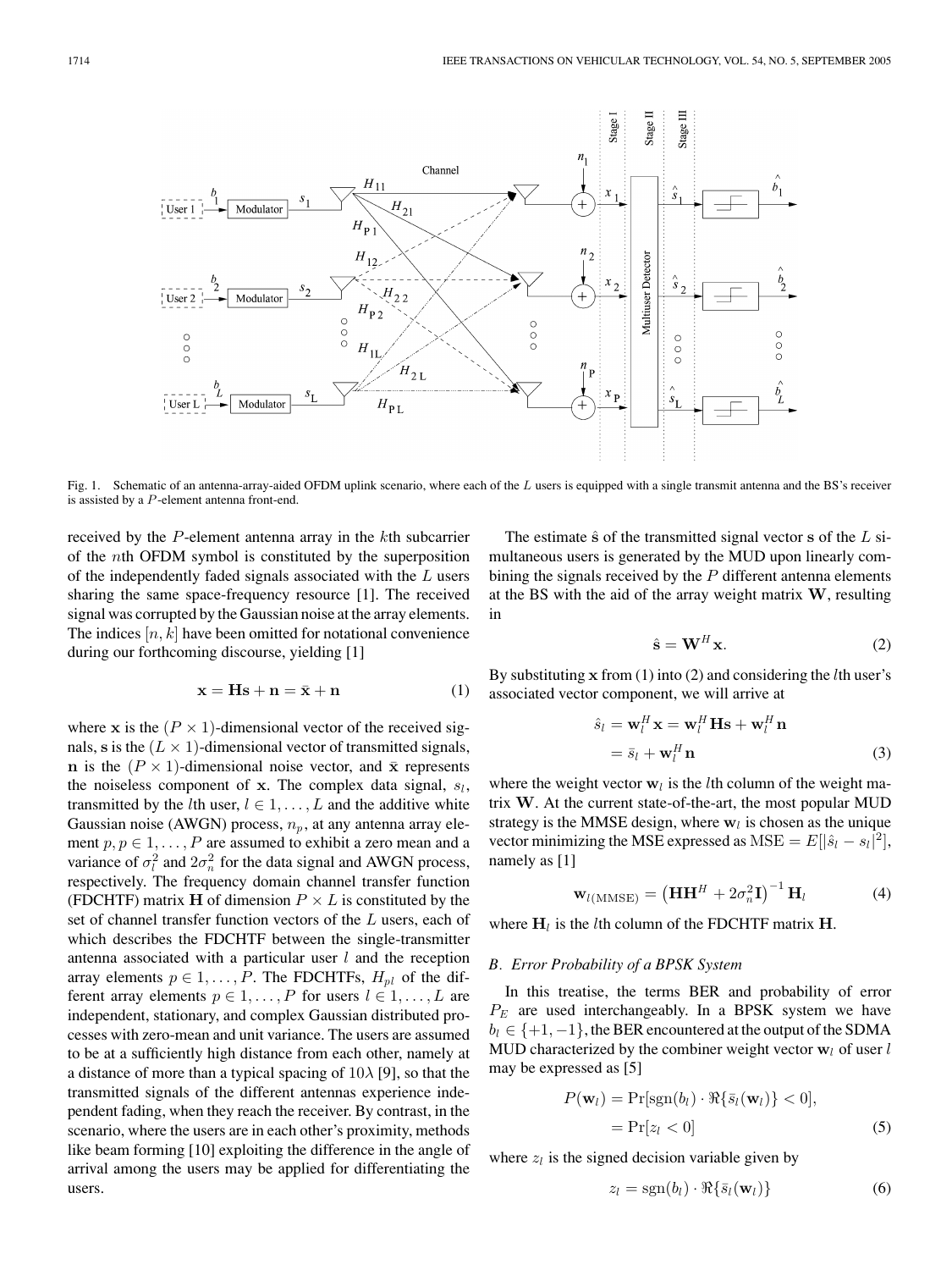

Fig. 1. Schematic of an antenna-array-aided OFDM uplink scenario, where each of the L users is equipped with a single transmit antenna and the BS's receiver is assisted by a P -element antenna front-end.

received by the P-element antenna array in the kth subcarrier of the nth OFDM symbol is constituted by the superposition of the independently faded signals associated with the L users sharing the same space-frequency resource [1]. The received signal was corrupted by the Gaussian noise at the array elements. The indices  $[n, k]$  have been omitted for notational convenience during our forthcoming discourse, yielding [1]

$$
\mathbf{x} = \mathbf{H}\mathbf{s} + \mathbf{n} = \bar{\mathbf{x}} + \mathbf{n} \tag{1}
$$

where **x** is the  $(P \times 1)$ -dimensional vector of the received signals, s is the  $(L \times 1)$ -dimensional vector of transmitted signals, **n** is the  $(P \times 1)$ -dimensional noise vector, and  $\bar{x}$  represents the noiseless component of  $x$ . The complex data signal,  $s_l$ , transmitted by the *l*th user,  $l \in 1, \ldots, L$  and the additive white Gaussian noise (AWGN) process,  $n_p$ , at any antenna array element  $p, p \in 1, \ldots, P$  are assumed to exhibit a zero mean and a variance of  $\sigma_l^2$  and  $2\sigma_n^2$  for the data signal and AWGN process, respectively. The frequency domain channel transfer function (FDCHTF) matrix **H** of dimension  $P \times L$  is constituted by the set of channel transfer function vectors of the L users, each of which describes the FDCHTF between the single-transmitter antenna associated with a particular user  $l$  and the reception array elements  $p \in 1, \ldots, P$ . The FDCHTFs,  $H_{pl}$  of the different array elements  $p \in 1, \ldots, P$  for users  $l \in 1, \ldots, L$  are independent, stationary, and complex Gaussian distributed processes with zero-mean and unit variance. The users are assumed to be at a sufficiently high distance from each other, namely at a distance of more than a typical spacing of  $10\lambda$  [9], so that the transmitted signals of the different antennas experience independent fading, when they reach the receiver. By contrast, in the scenario, where the users are in each other's proximity, methods like beam forming [10] exploiting the difference in the angle of arrival among the users may be applied for differentiating the users.

The estimate  $\hat{\mathbf{s}}$  of the transmitted signal vector **s** of the  $L$  simultaneous users is generated by the MUD upon linearly combining the signals received by the  $P$  different antenna elements at the BS with the aid of the array weight matrix **W**, resulting in

$$
\hat{\mathbf{s}} = \mathbf{W}^H \mathbf{x}.\tag{2}
$$

By substituting **x** from (1) into (2) and considering the lth user's associated vector component, we will arrive at

$$
\hat{s}_l = \mathbf{w}_l^H \mathbf{x} = \mathbf{w}_l^H \mathbf{H} \mathbf{s} + \mathbf{w}_l^H \mathbf{n}
$$
  
=  $\bar{s}_l + \mathbf{w}_l^H \mathbf{n}$  (3)

where the weight vector  $w_l$  is the *l*th column of the weight matrix **W**. At the current state-of-the-art, the most popular MUD strategy is the MMSE design, where  $w_l$  is chosen as the unique vector minimizing the MSE expressed as  $MSE = E[|\hat{s}_l - s_l|^2]$ , namely as [1]

$$
\mathbf{w}_{l(\text{MMSE})} = \left(\mathbf{H}\mathbf{H}^H + 2\sigma_n^2 \mathbf{I}\right)^{-1} \mathbf{H}_l \tag{4}
$$

where  $H_l$  is the *l*th column of the FDCHTF matrix **H**.

## *B. Error Probability of a BPSK System*

In this treatise, the terms BER and probability of error  $P_E$  are used interchangeably. In a BPSK system we have  $b_l \in \{+1, -1\}$ , the BER encountered at the output of the SDMA MUD characterized by the combiner weight vector  $w_l$  of user  $l$ may be expressed as [5]

$$
P(\mathbf{w}_l) = \Pr[\text{sgn}(b_l) \cdot \Re{\{\bar{s}_l(\mathbf{w}_l)\}} < 0],
$$
\n
$$
= \Pr[z_l < 0] \tag{5}
$$

where  $z_l$  is the signed decision variable given by

$$
z_l = \text{sgn}(b_l) \cdot \Re{\{\bar{s}_l(\mathbf{w}_l)\}}
$$
 (6)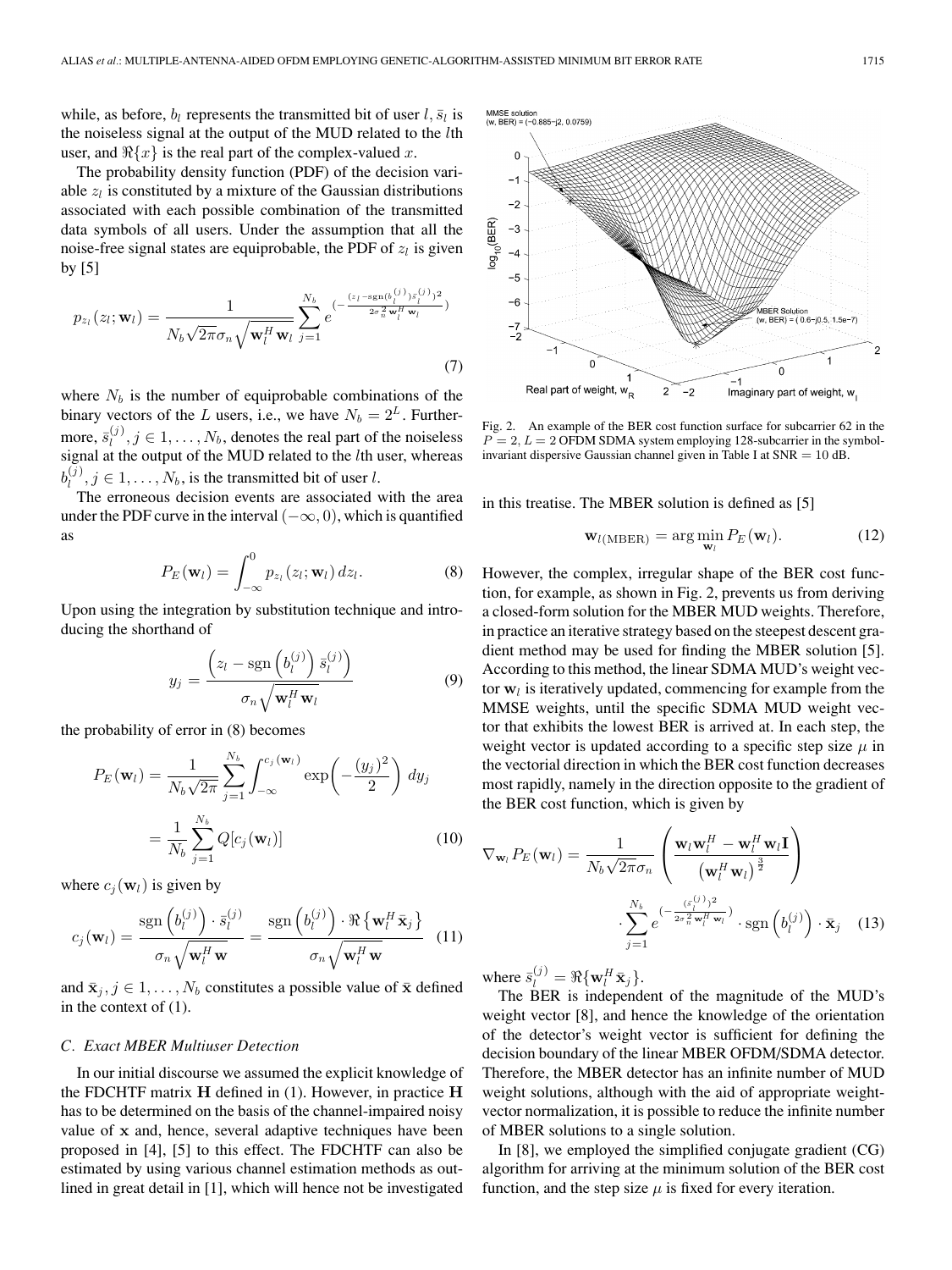while, as before,  $b_l$  represents the transmitted bit of user  $l, \bar{s}_l$  is the noiseless signal at the output of the MUD related to the lth user, and  $\Re\{x\}$  is the real part of the complex-valued x.

The probability density function (PDF) of the decision variable  $z_l$  is constituted by a mixture of the Gaussian distributions associated with each possible combination of the transmitted data symbols of all users. Under the assumption that all the noise-free signal states are equiprobable, the PDF of  $z_l$  is given by [5]

$$
p_{z_l}(z_l; \mathbf{w}_l) = \frac{1}{N_b \sqrt{2\pi} \sigma_n \sqrt{\mathbf{w}_l^H \mathbf{w}_l}} \sum_{j=1}^{N_b} e^{-\frac{(z_l - \mathrm{sgn}(b_l^{(j)}) \bar{s}_l^{(j)})^2}{2\sigma_n^2 \mathbf{w}_l^H \mathbf{w}_l}})
$$
(7)

where  $N_b$  is the number of equiprobable combinations of the binary vectors of the L users, i.e., we have  $N_b = 2^L$ . Furthermore,  $\bar{s}_l^{(j)}$ ,  $j \in 1, \ldots, N_b$ , denotes the real part of the noiseless signal at the output of the MUD related to the *lth* user, whereas  $b_l^{(j)}, j \in 1, \ldots, N_b$ , is the transmitted bit of user l.

The erroneous decision events are associated with the area under the PDF curve in the interval  $(-\infty, 0)$ , which is quantified as

$$
P_E(\mathbf{w}_l) = \int_{-\infty}^0 p_{z_l}(z_l; \mathbf{w}_l) dz_l.
$$
 (8)

Upon using the integration by substitution technique and introducing the shorthand of

$$
y_j = \frac{\left(z_l - \text{sgn}\left(b_l^{(j)}\right)\bar{s}_l^{(j)}\right)}{\sigma_n\sqrt{\mathbf{w}_l^H\mathbf{w}_l}}
$$
(9)

the probability of error in (8) becomes

$$
P_E(\mathbf{w}_l) = \frac{1}{N_b \sqrt{2\pi}} \sum_{j=1}^{N_b} \int_{-\infty}^{c_j(\mathbf{w}_l)} \exp\left(-\frac{(y_j)^2}{2}\right) dy_j
$$

$$
= \frac{1}{N_b} \sum_{j=1}^{N_b} Q[c_j(\mathbf{w}_l)] \tag{10}
$$

where  $c_i(\mathbf{w}_l)$  is given by

$$
c_j(\mathbf{w}_l) = \frac{\operatorname{sgn}\left(b_l^{(j)}\right) \cdot \bar{s}_l^{(j)}}{\sigma_n \sqrt{\mathbf{w}_l^H \mathbf{w}}} = \frac{\operatorname{sgn}\left(b_l^{(j)}\right) \cdot \Re\left\{\mathbf{w}_l^H \bar{\mathbf{x}}_j\right\}}{\sigma_n \sqrt{\mathbf{w}_l^H \mathbf{w}}}
$$
(11)

and  $\bar{\mathbf{x}}_j, j \in 1, \ldots, N_b$  constitutes a possible value of  $\bar{\mathbf{x}}$  defined in the context of (1).

#### *C. Exact MBER Multiuser Detection*

In our initial discourse we assumed the explicit knowledge of the FDCHTF matrix **H** defined in (1). However, in practice **H** has to be determined on the basis of the channel-impaired noisy value of **x** and, hence, several adaptive techniques have been proposed in [4], [5] to this effect. The FDCHTF can also be estimated by using various channel estimation methods as outlined in great detail in [1], which will hence not be investigated

![](_page_2_Figure_16.jpeg)

Fig. 2. An example of the BER cost function surface for subcarrier 62 in the  $P = 2, L = 2$  OFDM SDMA system employing 128-subcarrier in the symbolinvariant dispersive Gaussian channel given in Table I at  $SNR = 10$  dB.

in this treatise. The MBER solution is defined as [5]

$$
\mathbf{w}_{l(\text{MBER})} = \arg\min_{\mathbf{w}_l} P_E(\mathbf{w}_l). \tag{12}
$$

However, the complex, irregular shape of the BER cost function, for example, as shown in Fig. 2, prevents us from deriving a closed-form solution for the MBER MUD weights. Therefore, in practice an iterative strategy based on the steepest descent gradient method may be used for finding the MBER solution [5]. According to this method, the linear SDMA MUD's weight vector  $w_l$  is iteratively updated, commencing for example from the MMSE weights, until the specific SDMA MUD weight vector that exhibits the lowest BER is arrived at. In each step, the weight vector is updated according to a specific step size  $\mu$  in the vectorial direction in which the BER cost function decreases most rapidly, namely in the direction opposite to the gradient of the BER cost function, which is given by

$$
\nabla_{\mathbf{w}_l} P_E(\mathbf{w}_l) = \frac{1}{N_b \sqrt{2\pi} \sigma_n} \left( \frac{\mathbf{w}_l \mathbf{w}_l^H - \mathbf{w}_l^H \mathbf{w}_l \mathbf{I}}{(\mathbf{w}_l^H \mathbf{w}_l)^{\frac{3}{2}}} \right)
$$

$$
\cdot \sum_{j=1}^{N_b} e^{(-\frac{(s_i^{(j)})^2}{2\sigma_n^2 \mathbf{w}_l^H \mathbf{w}_l})} \cdot \text{sgn}\left(b_l^{(j)}\right) \cdot \bar{\mathbf{x}}_j \quad (13)
$$

where  $\bar{s}_l^{(j)} = \Re{\{\mathbf{w}_l^H \bar{\mathbf{x}}_j\}}$ .

The BER is independent of the magnitude of the MUD's weight vector [8], and hence the knowledge of the orientation of the detector's weight vector is sufficient for defining the decision boundary of the linear MBER OFDM/SDMA detector. Therefore, the MBER detector has an infinite number of MUD weight solutions, although with the aid of appropriate weightvector normalization, it is possible to reduce the infinite number of MBER solutions to a single solution.

In [8], we employed the simplified conjugate gradient (CG) algorithm for arriving at the minimum solution of the BER cost function, and the step size  $\mu$  is fixed for every iteration.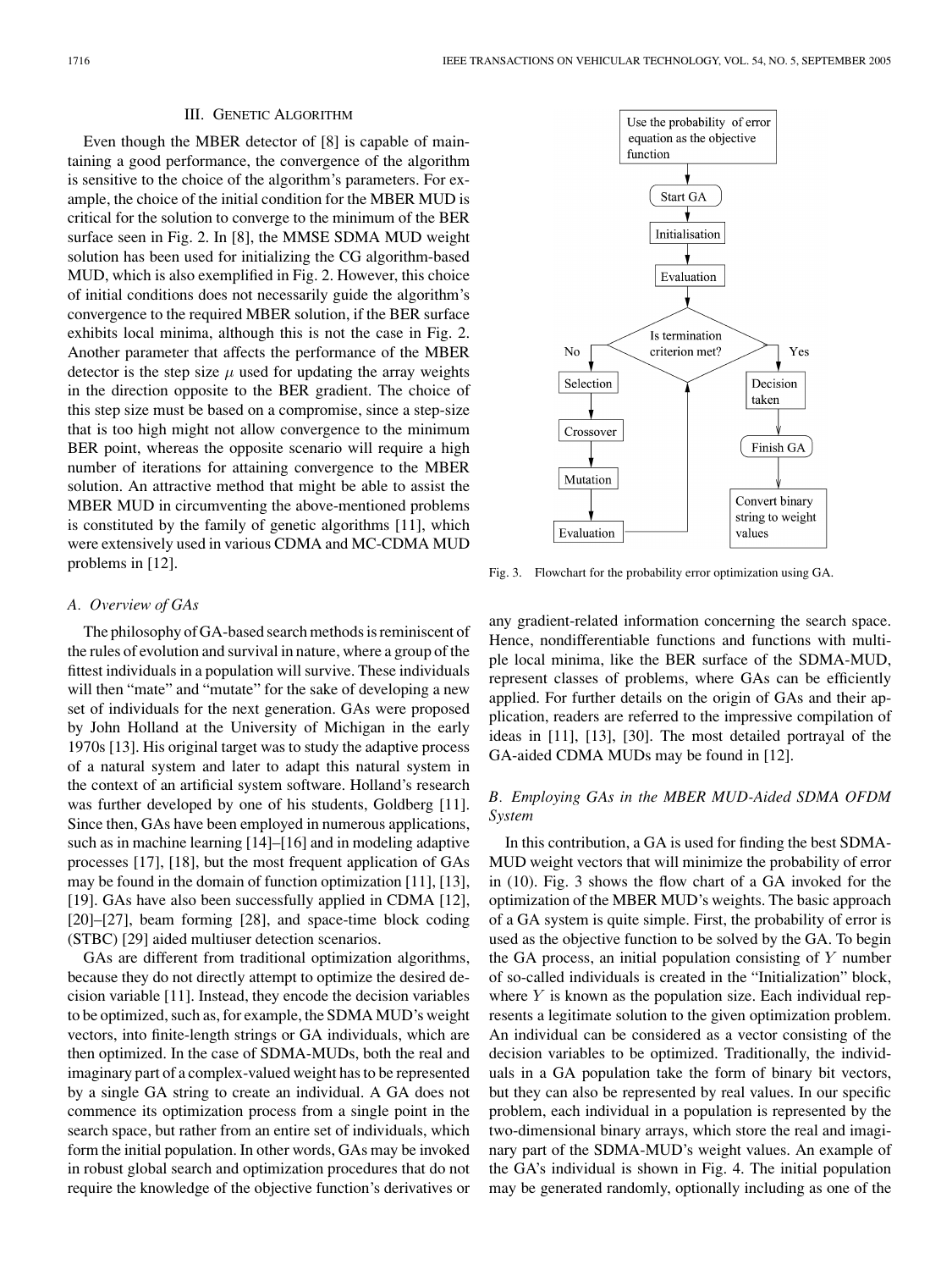## III. GENETIC ALGORITHM

Even though the MBER detector of [8] is capable of maintaining a good performance, the convergence of the algorithm is sensitive to the choice of the algorithm's parameters. For example, the choice of the initial condition for the MBER MUD is critical for the solution to converge to the minimum of the BER surface seen in Fig. 2. In [8], the MMSE SDMA MUD weight solution has been used for initializing the CG algorithm-based MUD, which is also exemplified in Fig. 2. However, this choice of initial conditions does not necessarily guide the algorithm's convergence to the required MBER solution, if the BER surface exhibits local minima, although this is not the case in Fig. 2. Another parameter that affects the performance of the MBER detector is the step size  $\mu$  used for updating the array weights in the direction opposite to the BER gradient. The choice of this step size must be based on a compromise, since a step-size that is too high might not allow convergence to the minimum BER point, whereas the opposite scenario will require a high number of iterations for attaining convergence to the MBER solution. An attractive method that might be able to assist the MBER MUD in circumventing the above-mentioned problems is constituted by the family of genetic algorithms [11], which were extensively used in various CDMA and MC-CDMA MUD problems in [12].

## *A. Overview of GAs*

The philosophy of GA-based search methods is reminiscent of the rules of evolution and survival in nature, where a group of the fittest individuals in a population will survive. These individuals will then "mate" and "mutate" for the sake of developing a new set of individuals for the next generation. GAs were proposed by John Holland at the University of Michigan in the early 1970s [13]. His original target was to study the adaptive process of a natural system and later to adapt this natural system in the context of an artificial system software. Holland's research was further developed by one of his students, Goldberg [11]. Since then, GAs have been employed in numerous applications, such as in machine learning [14]–[16] and in modeling adaptive processes [17], [18], but the most frequent application of GAs may be found in the domain of function optimization [11], [13], [19]. GAs have also been successfully applied in CDMA [12], [20]–[27], beam forming [28], and space-time block coding (STBC) [29] aided multiuser detection scenarios.

GAs are different from traditional optimization algorithms, because they do not directly attempt to optimize the desired decision variable [11]. Instead, they encode the decision variables to be optimized, such as, for example, the SDMA MUD's weight vectors, into finite-length strings or GA individuals, which are then optimized. In the case of SDMA-MUDs, both the real and imaginary part of a complex-valued weight has to be represented by a single GA string to create an individual. A GA does not commence its optimization process from a single point in the search space, but rather from an entire set of individuals, which form the initial population. In other words, GAs may be invoked in robust global search and optimization procedures that do not require the knowledge of the objective function's derivatives or

![](_page_3_Figure_7.jpeg)

Fig. 3. Flowchart for the probability error optimization using GA.

any gradient-related information concerning the search space. Hence, nondifferentiable functions and functions with multiple local minima, like the BER surface of the SDMA-MUD, represent classes of problems, where GAs can be efficiently applied. For further details on the origin of GAs and their application, readers are referred to the impressive compilation of ideas in [11], [13], [30]. The most detailed portrayal of the GA-aided CDMA MUDs may be found in [12].

# *B. Employing GAs in the MBER MUD-Aided SDMA OFDM System*

In this contribution, a GA is used for finding the best SDMA-MUD weight vectors that will minimize the probability of error in (10). Fig. 3 shows the flow chart of a GA invoked for the optimization of the MBER MUD's weights. The basic approach of a GA system is quite simple. First, the probability of error is used as the objective function to be solved by the GA. To begin the GA process, an initial population consisting of  $Y$  number of so-called individuals is created in the "Initialization" block, where  $Y$  is known as the population size. Each individual represents a legitimate solution to the given optimization problem. An individual can be considered as a vector consisting of the decision variables to be optimized. Traditionally, the individuals in a GA population take the form of binary bit vectors, but they can also be represented by real values. In our specific problem, each individual in a population is represented by the two-dimensional binary arrays, which store the real and imaginary part of the SDMA-MUD's weight values. An example of the GA's individual is shown in Fig. 4. The initial population may be generated randomly, optionally including as one of the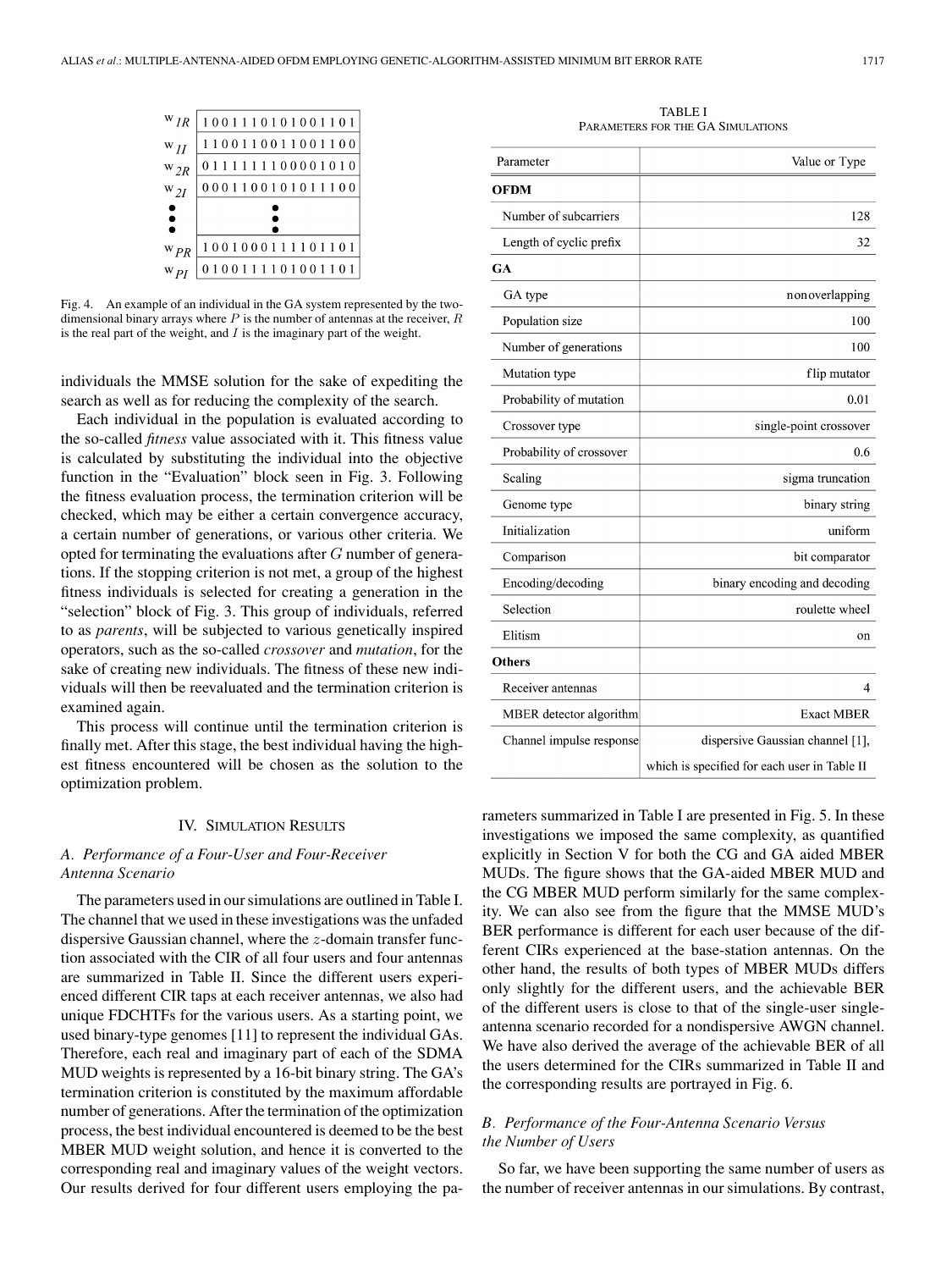![](_page_4_Figure_1.jpeg)

Fig. 4. An example of an individual in the GA system represented by the twodimensional binary arrays where  $P$  is the number of antennas at the receiver,  $R$ is the real part of the weight, and  $I$  is the imaginary part of the weight.

individuals the MMSE solution for the sake of expediting the search as well as for reducing the complexity of the search.

Each individual in the population is evaluated according to the so-called *fitness* value associated with it. This fitness value is calculated by substituting the individual into the objective function in the "Evaluation" block seen in Fig. 3. Following the fitness evaluation process, the termination criterion will be checked, which may be either a certain convergence accuracy, a certain number of generations, or various other criteria. We opted for terminating the evaluations after G number of generations. If the stopping criterion is not met, a group of the highest fitness individuals is selected for creating a generation in the "selection" block of Fig. 3. This group of individuals, referred to as *parents*, will be subjected to various genetically inspired operators, such as the so-called *crossover* and *mutation*, for the sake of creating new individuals. The fitness of these new individuals will then be reevaluated and the termination criterion is examined again.

This process will continue until the termination criterion is finally met. After this stage, the best individual having the highest fitness encountered will be chosen as the solution to the optimization problem.

### IV. SIMULATION RESULTS

# *A. Performance of a Four-User and Four-Receiver Antenna Scenario*

The parameters used in our simulations are outlined in Table I. The channel that we used in these investigations was the unfaded dispersive Gaussian channel, where the z-domain transfer function associated with the CIR of all four users and four antennas are summarized in Table II. Since the different users experienced different CIR taps at each receiver antennas, we also had unique FDCHTFs for the various users. As a starting point, we used binary-type genomes [11] to represent the individual GAs. Therefore, each real and imaginary part of each of the SDMA MUD weights is represented by a 16-bit binary string. The GA's termination criterion is constituted by the maximum affordable number of generations. After the termination of the optimization process, the best individual encountered is deemed to be the best MBER MUD weight solution, and hence it is converted to the corresponding real and imaginary values of the weight vectors. Our results derived for four different users employing the pa-

TARI F I PARAMETERS FOR THE GA SIMULATIONS

| Parameter                | Value or Type                                |
|--------------------------|----------------------------------------------|
| <b>OFDM</b>              |                                              |
|                          |                                              |
| Number of subcarriers    | 128                                          |
| Length of cyclic prefix  | 32                                           |
| GA                       |                                              |
| GA type                  | nonoverlapping                               |
| Population size          | 100                                          |
| Number of generations    | 100                                          |
| Mutation type            | flip mutator                                 |
| Probability of mutation  | 0.01                                         |
| Crossover type           | single-point crossover                       |
| Probability of crossover | 0.6                                          |
| Scaling                  | sigma truncation                             |
| Genome type              | binary string                                |
| Initialization           | uniform                                      |
| Comparison               | bit comparator                               |
| Encoding/decoding        | binary encoding and decoding                 |
| Selection                | roulette wheel                               |
| Elitism                  | on                                           |
| <b>Others</b>            |                                              |
| Receiver antennas        | 4                                            |
| MBER detector algorithm  | <b>Exact MBER</b>                            |
| Channel impulse response | dispersive Gaussian channel [1],             |
|                          | which is specified for each user in Table II |

rameters summarized in Table I are presented in Fig. 5. In these investigations we imposed the same complexity, as quantified explicitly in Section V for both the CG and GA aided MBER MUDs. The figure shows that the GA-aided MBER MUD and the CG MBER MUD perform similarly for the same complexity. We can also see from the figure that the MMSE MUD's BER performance is different for each user because of the different CIRs experienced at the base-station antennas. On the other hand, the results of both types of MBER MUDs differs only slightly for the different users, and the achievable BER of the different users is close to that of the single-user singleantenna scenario recorded for a nondispersive AWGN channel. We have also derived the average of the achievable BER of all the users determined for the CIRs summarized in Table II and the corresponding results are portrayed in Fig. 6.

# *B. Performance of the Four-Antenna Scenario Versus the Number of Users*

So far, we have been supporting the same number of users as the number of receiver antennas in our simulations. By contrast,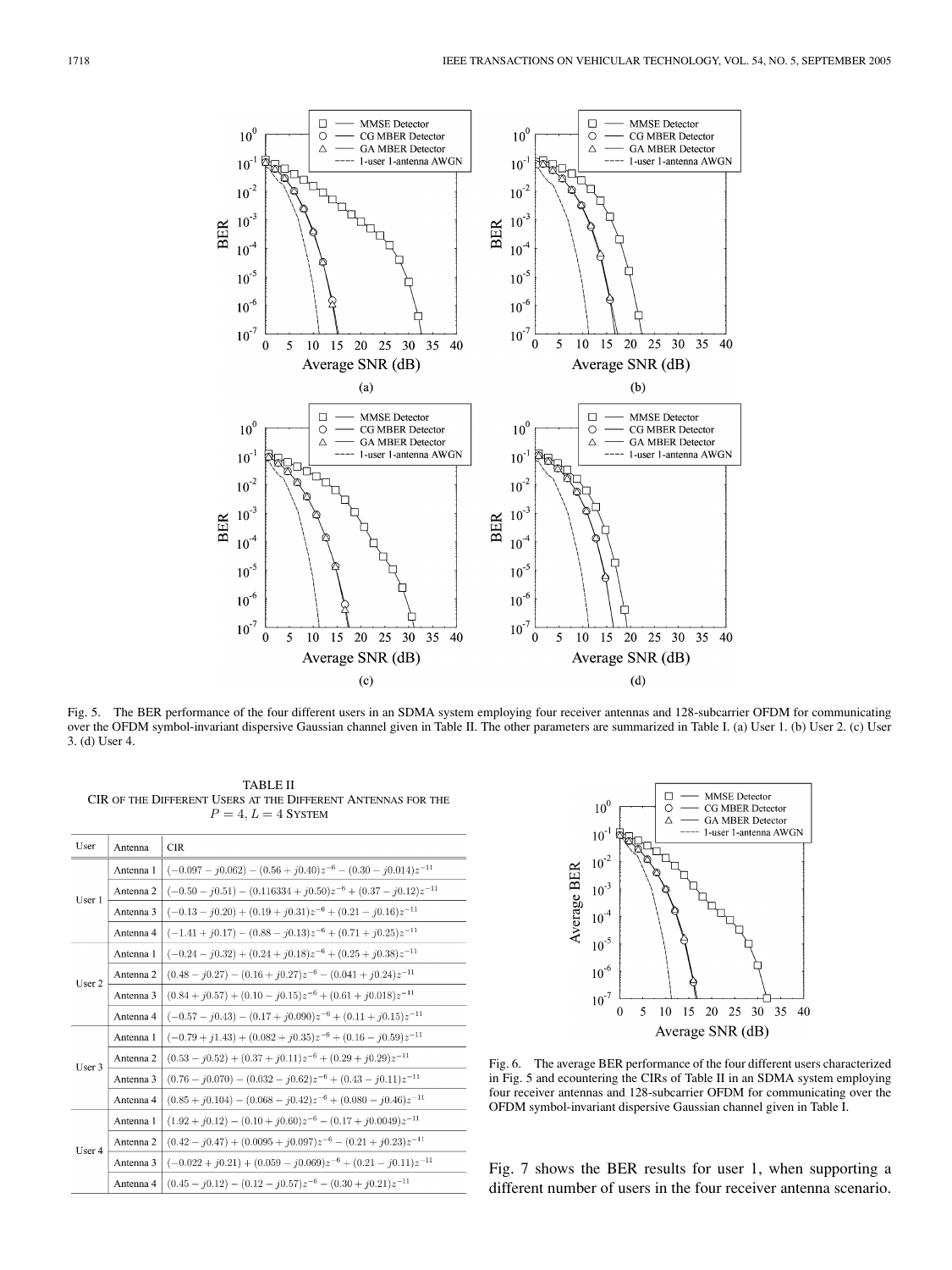![](_page_5_Figure_1.jpeg)

Fig. 5. The BER performance of the four different users in an SDMA system employing four receiver antennas and 128-subcarrier OFDM for communicating over the OFDM symbol-invariant dispersive Gaussian channel given in Table II. The other parameters are summarized in Table I. (a) User 1. (b) User 2. (c) User 3. (d) User 4.

TABLE II CIR OF THE DIFFERENT USERS AT THE DIFFERENT ANTENNAS FOR THE  $\mathcal{P}=4, \mathcal{L}=4$ SYSTEM

| User   | Antenna   | <b>CIR</b>                                                                                            |
|--------|-----------|-------------------------------------------------------------------------------------------------------|
| User 1 | Antenna 1 | $(-0.097 - j0.062) - (0.56 + j0.40)z^{-6} - (0.30 - j0.014)z^{-11}$                                   |
|        | Antenna 2 | $\left(-0.50 - j0.51\right) - \left(0.116334 + j0.50\right)z^{-6} + \left(0.37 - j0.12\right)z^{-11}$ |
|        | Antenna 3 | $(-0.13 - j0.20) + (0.19 + j0.31)z^{-6} + (0.21 - j0.16)z^{-11}$                                      |
|        | Antenna 4 | $(-1.41 + j0.17) - (0.88 - j0.13)z^{-6} + (0.71 + j0.25)z^{-11}$                                      |
| User 2 | Antenna 1 | $(-0.24 - j0.32) + (0.24 + j0.18)z^{-6} + (0.25 + j0.38)z^{-11}$                                      |
|        | Antenna 2 | $(0.48 - j0.27) - (0.16 + j0.27)z^{-6} - (0.041 + j0.24)z^{-11}$                                      |
|        | Antenna 3 | $(0.84 + i0.57) + (0.10 - i0.15)z^{-6} + (0.61 + i0.018)z^{-11}$                                      |
|        | Antenna 4 | $(-0.57 - i0.43) - (0.17 + i0.090)z^{-6} + (0.11 + i0.15)z^{-11}$                                     |
| User 3 | Antenna 1 | $(-0.79 + j1.43) + (0.082 + j0.35)z^{-6} + (0.16 - j0.59)z^{-11}$                                     |
|        | Antenna 2 | $(0.53 - j0.52) + (0.37 + j0.11)z^{-6} + (0.29 + j0.29)z^{-11}$                                       |
|        | Antenna 3 | $(0.76 - j0.070) - (0.032 - j0.62)z^{-6} + (0.43 - j0.11)z^{-11}$                                     |
|        | Antenna 4 | $(0.85 + j0.104) - (0.068 - j0.42)z^{-6} + (0.080 - j0.46)z^{-11}$                                    |
| User 4 | Antenna 1 | $(1.92 + j0.12) - (0.10 + j0.60)z^{-6} - (0.17 + j0.0049)z^{-11}$                                     |
|        | Antenna 2 | $(0.42 - j0.47) + (0.0095 + j0.097)z^{-6} - (0.21 + j0.23)z^{-11}$                                    |
|        | Antenna 3 | $(-0.022 + i0.21) + (0.059 - i0.069)z^{-6} + (0.21 - i0.11)z^{-11}$                                   |
|        | Antenna 4 | $(0.45 - i0.12) - (0.12 - i0.57)z^{-6} - (0.30 + i0.21)z^{-11}$                                       |

![](_page_5_Figure_5.jpeg)

Fig. 6. The average BER performance of the four different users characterized in Fig. 5 and ecountering the CIRs of Table II in an SDMA system employing four receiver antennas and 128-subcarrier OFDM for communicating over the OFDM symbol-invariant dispersive Gaussian channel given in Table I.

Fig. 7 shows the BER results for user 1, when supporting a different number of users in the four receiver antenna scenario.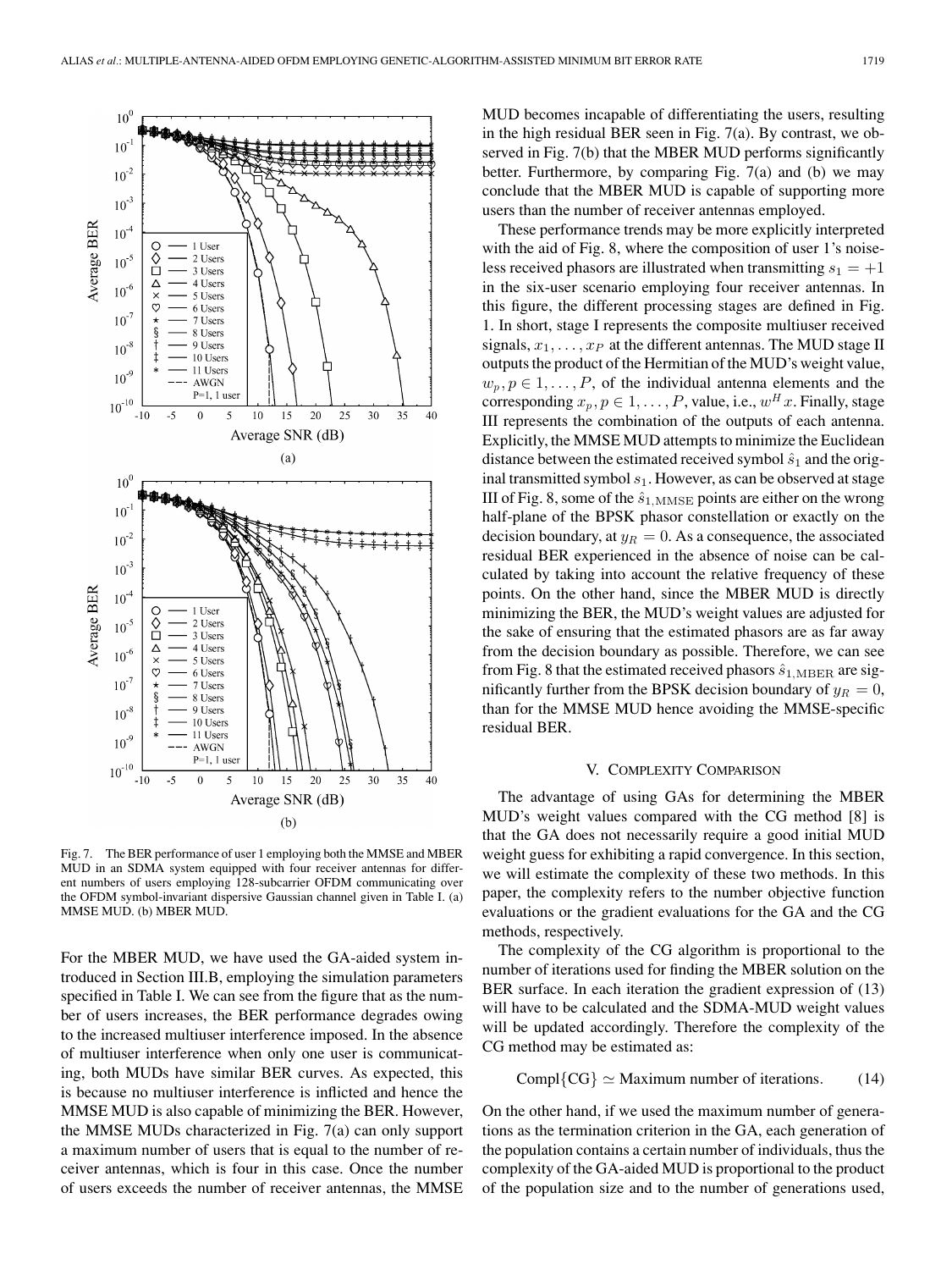![](_page_6_Figure_1.jpeg)

Fig. 7. The BER performance of user 1 employing both the MMSE and MBER MUD in an SDMA system equipped with four receiver antennas for different numbers of users employing 128-subcarrier OFDM communicating over the OFDM symbol-invariant dispersive Gaussian channel given in Table I. (a) MMSE MUD. (b) MBER MUD.

For the MBER MUD, we have used the GA-aided system introduced in Section III.B, employing the simulation parameters specified in Table I. We can see from the figure that as the number of users increases, the BER performance degrades owing to the increased multiuser interference imposed. In the absence of multiuser interference when only one user is communicating, both MUDs have similar BER curves. As expected, this is because no multiuser interference is inflicted and hence the MMSE MUD is also capable of minimizing the BER. However, the MMSE MUDs characterized in Fig. 7(a) can only support a maximum number of users that is equal to the number of receiver antennas, which is four in this case. Once the number of users exceeds the number of receiver antennas, the MMSE MUD becomes incapable of differentiating the users, resulting in the high residual BER seen in Fig. 7(a). By contrast, we observed in Fig. 7(b) that the MBER MUD performs significantly better. Furthermore, by comparing Fig. 7(a) and (b) we may conclude that the MBER MUD is capable of supporting more users than the number of receiver antennas employed.

These performance trends may be more explicitly interpreted with the aid of Fig. 8, where the composition of user 1's noiseless received phasors are illustrated when transmitting  $s_1 = +1$ in the six-user scenario employing four receiver antennas. In this figure, the different processing stages are defined in Fig. 1. In short, stage I represents the composite multiuser received signals,  $x_1, \ldots, x_P$  at the different antennas. The MUD stage II outputs the product of the Hermitian of the MUD's weight value,  $w_p, p \in 1, \ldots, P$ , of the individual antenna elements and the corresponding  $x_p, p \in 1, \ldots, P$ , value, i.e.,  $w^H x$ . Finally, stage III represents the combination of the outputs of each antenna. Explicitly, the MMSE MUD attempts to minimize the Euclidean distance between the estimated received symbol  $\hat{s}_1$  and the original transmitted symbol  $s_1$ . However, as can be observed at stage III of Fig. 8, some of the  $\hat{s}_{1,\text{MMSE}}$  points are either on the wrong half-plane of the BPSK phasor constellation or exactly on the decision boundary, at  $y_R = 0$ . As a consequence, the associated residual BER experienced in the absence of noise can be calculated by taking into account the relative frequency of these points. On the other hand, since the MBER MUD is directly minimizing the BER, the MUD's weight values are adjusted for the sake of ensuring that the estimated phasors are as far away from the decision boundary as possible. Therefore, we can see from Fig. 8 that the estimated received phasors  $\hat{s}_{1,\text{MBER}}$  are significantly further from the BPSK decision boundary of  $y_R = 0$ , than for the MMSE MUD hence avoiding the MMSE-specific residual BER.

#### V. COMPLEXITY COMPARISON

The advantage of using GAs for determining the MBER MUD's weight values compared with the CG method [8] is that the GA does not necessarily require a good initial MUD weight guess for exhibiting a rapid convergence. In this section, we will estimate the complexity of these two methods. In this paper, the complexity refers to the number objective function evaluations or the gradient evaluations for the GA and the CG methods, respectively.

The complexity of the CG algorithm is proportional to the number of iterations used for finding the MBER solution on the BER surface. In each iteration the gradient expression of (13) will have to be calculated and the SDMA-MUD weight values will be updated accordingly. Therefore the complexity of the CG method may be estimated as:

$$
Compl{CG} \simeq Maximum number of iterations. \qquad (14)
$$

On the other hand, if we used the maximum number of generations as the termination criterion in the GA, each generation of the population contains a certain number of individuals, thus the complexity of the GA-aided MUD is proportional to the product of the population size and to the number of generations used,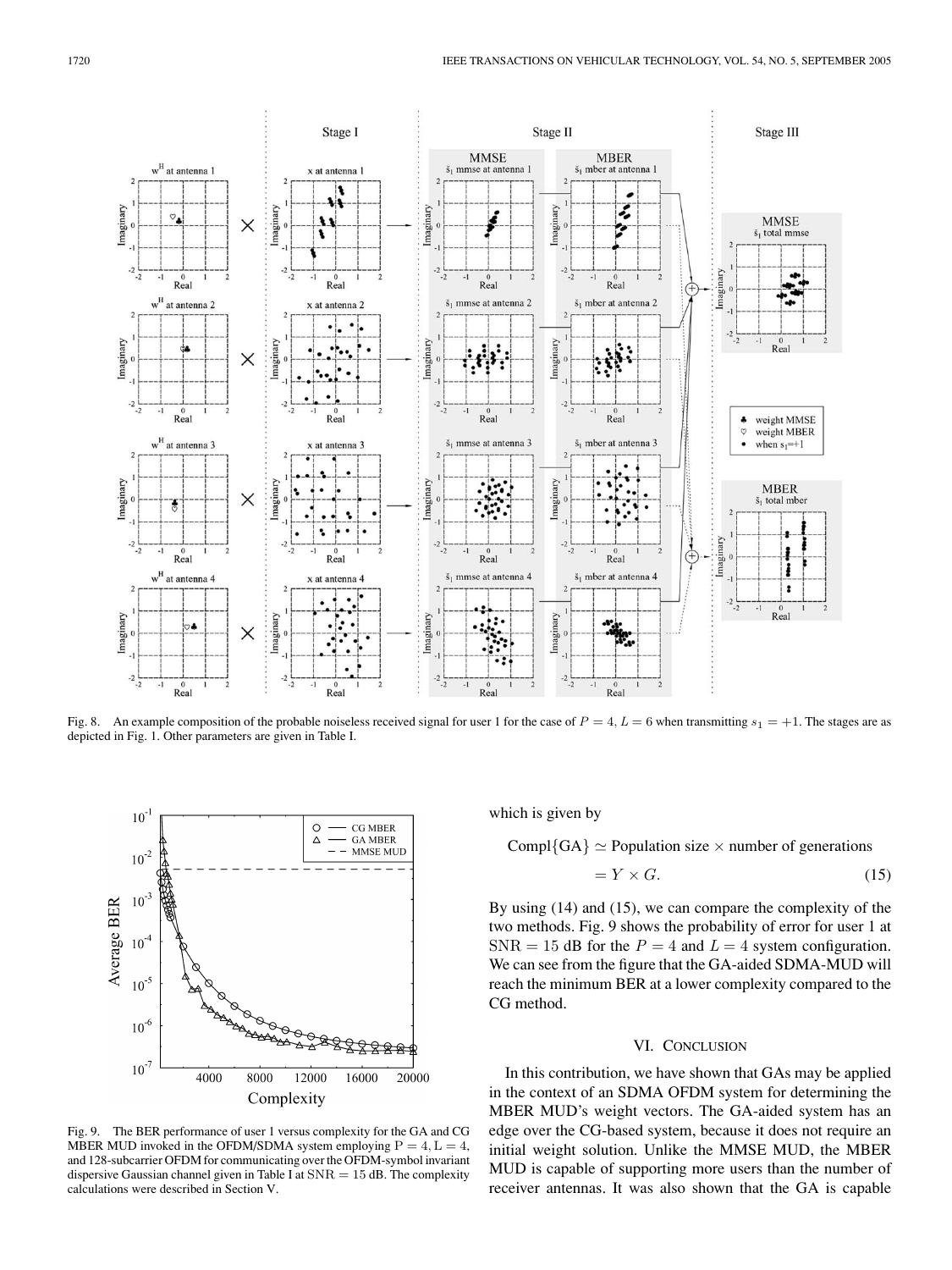![](_page_7_Figure_1.jpeg)

Fig. 8. An example composition of the probable noiseless received signal for user 1 for the case of  $P = 4$ ,  $L = 6$  when transmitting  $s_1 = +1$ . The stages are as depicted in Fig. 1. Other parameters are given in Table I.

![](_page_7_Figure_3.jpeg)

which is given by

Compl{GA}  $\simeq$  Population size  $\times$  number of generations

$$
= Y \times G. \tag{15}
$$

By using (14) and (15), we can compare the complexity of the two methods. Fig. 9 shows the probability of error for user 1 at  $SNR = 15$  dB for the  $P = 4$  and  $L = 4$  system configuration. We can see from the figure that the GA-aided SDMA-MUD will reach the minimum BER at a lower complexity compared to the CG method.

## VI. CONCLUSION

In this contribution, we have shown that GAs may be applied in the context of an SDMA OFDM system for determining the MBER MUD's weight vectors. The GA-aided system has an edge over the CG-based system, because it does not require an initial weight solution. Unlike the MMSE MUD, the MBER MUD is capable of supporting more users than the number of receiver antennas. It was also shown that the GA is capable

Fig. 9. The BER performance of user 1 versus complexity for the GA and CG MBER MUD invoked in the OFDM/SDMA system employing  $P=4, L=4$ , and 128-subcarrier OFDM for communicating over the OFDM-symbol invariant dispersive Gaussian channel given in Table I at  $SNR = 15$  dB. The complexity calculations were described in Section V.